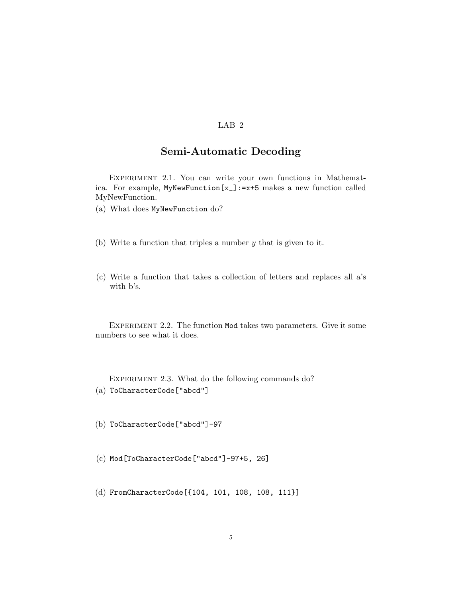## LAB 2

## Semi-Automatic Decoding

EXPERIMENT 2.1. You can write your own functions in Mathematica. For example, MyNewFunction[x\_]:=x+5 makes a new function called MyNewFunction.

(a) What does MyNewFunction do?

- (b) Write a function that triples a number *y* that is given to it.
- (c) Write a function that takes a collection of letters and replaces all a's with b's.

EXPERIMENT 2.2. The function Mod takes two parameters. Give it some numbers to see what it does.

EXPERIMENT 2.3. What do the following commands do? (a) ToCharacterCode["abcd"]

(b) ToCharacterCode["abcd"]-97

(c) Mod[ToCharacterCode["abcd"]-97+5, 26]

(d) FromCharacterCode[{104, 101, 108, 108, 111}]